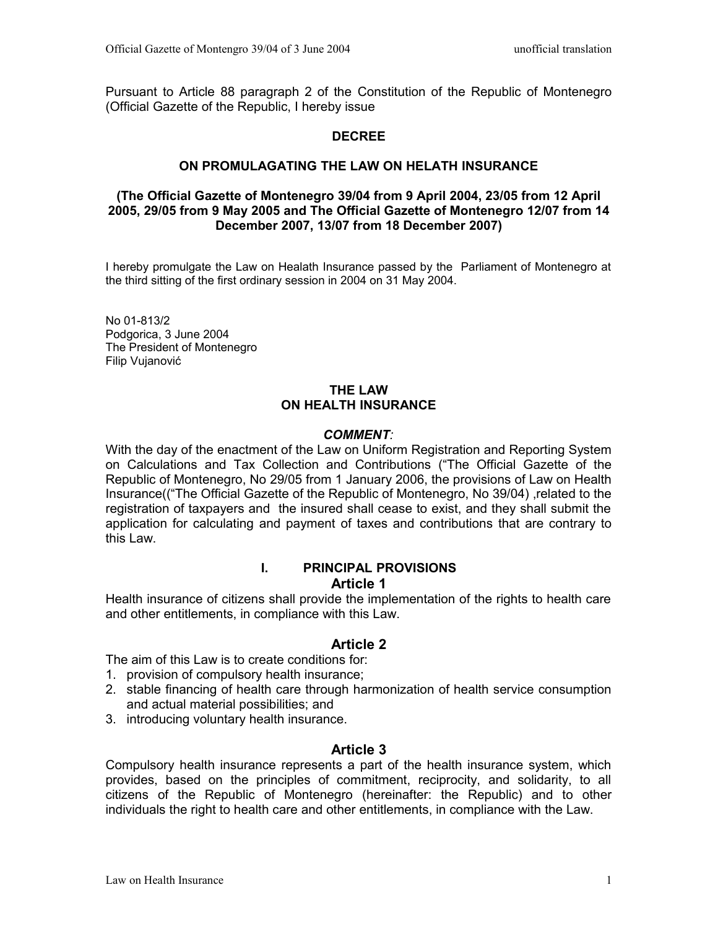Pursuant to Article 88 paragraph 2 of the Constitution of the Republic of Montenegro (Official Gazette of the Republic, I hereby issue

#### **DECREE**

#### **ON PROMULAGATING THE LAW ON HELATH INSURANCE**

#### **(The Official Gazette of Montenegro 39/04 from 9 April 2004, 23/05 from 12 April 2005, 29/05 from 9 May 2005 and The Official Gazette of Montenegro 12/07 from 14 December 2007, 13/07 from 18 December 2007)**

I hereby promulgate the Law on Healath Insurance passed by the Parliament of Montenegro at the third sitting of the first ordinary session in 2004 on 31 May 2004.

No 01-813/2 Podgorica, 3 June 2004 The President of Montenegro Filip Vujanović

#### **THE LAW ON HEALTH INSURANCE**

#### *COMMENT:*

With the day of the enactment of the Law on Uniform Registration and Reporting System on Calculations and Tax Collection and Contributions ("The Official Gazette of the Republic of Montenegro, No 29/05 from 1 January 2006, the provisions of Law on Health Insurance(("The Official Gazette of the Republic of Montenegro, No 39/04) ,related to the registration of taxpayers and the insured shall cease to exist, and they shall submit the application for calculating and payment of taxes and contributions that are contrary to this Law.

#### **I. PRINCIPAL PROVISIONS Article 1**

Health insurance of citizens shall provide the implementation of the rights to health care and other entitlements, in compliance with this Law.

#### **Article 2**

The aim of this Law is to create conditions for:

- 1. provision of compulsory health insurance;
- 2. stable financing of health care through harmonization of health service consumption and actual material possibilities; and
- 3. introducing voluntary health insurance.

#### **Article 3**

Compulsory health insurance represents a part of the health insurance system, which provides, based on the principles of commitment, reciprocity, and solidarity, to all citizens of the Republic of Montenegro (hereinafter: the Republic) and to other individuals the right to health care and other entitlements, in compliance with the Law.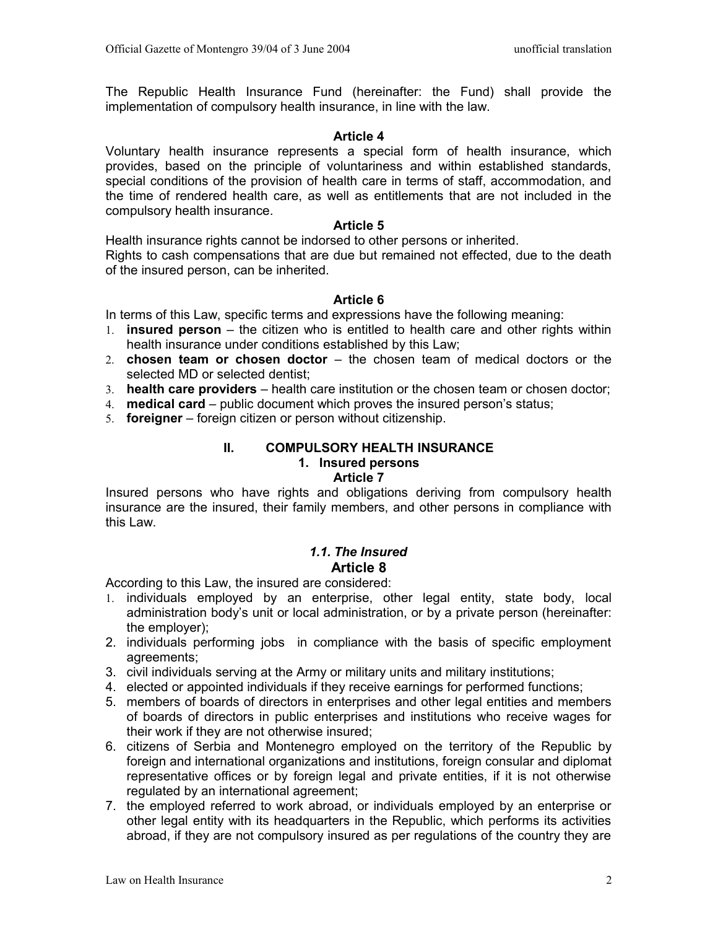The Republic Health Insurance Fund (hereinafter: the Fund) shall provide the implementation of compulsory health insurance, in line with the law.

#### **Article 4**

Voluntary health insurance represents a special form of health insurance, which provides, based on the principle of voluntariness and within established standards, special conditions of the provision of health care in terms of staff, accommodation, and the time of rendered health care, as well as entitlements that are not included in the compulsory health insurance.

#### **Article 5**

Health insurance rights cannot be indorsed to other persons or inherited. Rights to cash compensations that are due but remained not effected, due to the death of the insured person, can be inherited.

### **Article 6**

In terms of this Law, specific terms and expressions have the following meaning:

- 1. **insured person** the citizen who is entitled to health care and other rights within health insurance under conditions established by this Law;
- 2. **chosen team or chosen doctor**  the chosen team of medical doctors or the selected MD or selected dentist;
- 3. **health care providers**  health care institution or the chosen team or chosen doctor;
- 4. **medical card** public document which proves the insured person's status;
- 5. **foreigner**  foreign citizen or person without citizenship.

#### **II. COMPULSORY HEALTH INSURANCE 1. Insured persons Article 7**

Insured persons who have rights and obligations deriving from compulsory health insurance are the insured, their family members, and other persons in compliance with this Law.

### *1.1. The Insured* **Article 8**

According to this Law, the insured are considered:

- 1. individuals employed by an enterprise, other legal entity, state body, local administration body's unit or local administration, or by a private person (hereinafter: the employer);
- 2. individuals performing jobs in compliance with the basis of specific employment agreements;
- 3. civil individuals serving at the Army or military units and military institutions;
- 4. elected or appointed individuals if they receive earnings for performed functions;
- 5. members of boards of directors in enterprises and other legal entities and members of boards of directors in public enterprises and institutions who receive wages for their work if they are not otherwise insured;
- 6. citizens of Serbia and Montenegro employed on the territory of the Republic by foreign and international organizations and institutions, foreign consular and diplomat representative offices or by foreign legal and private entities, if it is not otherwise regulated by an international agreement;
- 7. the employed referred to work abroad, or individuals employed by an enterprise or other legal entity with its headquarters in the Republic, which performs its activities abroad, if they are not compulsory insured as per regulations of the country they are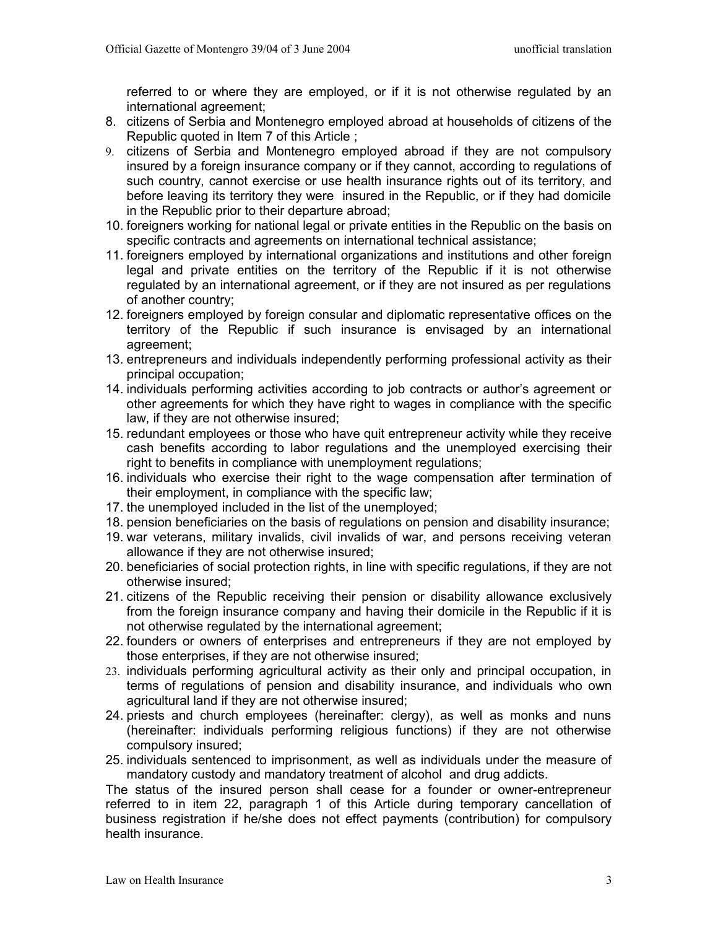referred to or where they are employed, or if it is not otherwise regulated by an international agreement;

- 8. citizens of Serbia and Montenegro employed abroad at households of citizens of the Republic quoted in Item 7 of this Article ;
- 9. citizens of Serbia and Montenegro employed abroad if they are not compulsory insured by a foreign insurance company or if they cannot, according to regulations of such country, cannot exercise or use health insurance rights out of its territory, and before leaving its territory they were insured in the Republic, or if they had domicile in the Republic prior to their departure abroad;
- 10. foreigners working for national legal or private entities in the Republic on the basis on specific contracts and agreements on international technical assistance;
- 11. foreigners employed by international organizations and institutions and other foreign legal and private entities on the territory of the Republic if it is not otherwise regulated by an international agreement, or if they are not insured as per regulations of another country;
- 12. foreigners employed by foreign consular and diplomatic representative offices on the territory of the Republic if such insurance is envisaged by an international agreement;
- 13. entrepreneurs and individuals independently performing professional activity as their principal occupation;
- 14. individuals performing activities according to job contracts or author's agreement or other agreements for which they have right to wages in compliance with the specific law, if they are not otherwise insured;
- 15. redundant employees or those who have quit entrepreneur activity while they receive cash benefits according to labor regulations and the unemployed exercising their right to benefits in compliance with unemployment regulations;
- 16. individuals who exercise their right to the wage compensation after termination of their employment, in compliance with the specific law;
- 17. the unemployed included in the list of the unemployed;
- 18. pension beneficiaries on the basis of regulations on pension and disability insurance;
- 19. war veterans, military invalids, civil invalids of war, and persons receiving veteran allowance if they are not otherwise insured;
- 20. beneficiaries of social protection rights, in line with specific regulations, if they are not otherwise insured;
- 21. citizens of the Republic receiving their pension or disability allowance exclusively from the foreign insurance company and having their domicile in the Republic if it is not otherwise regulated by the international agreement;
- 22. founders or owners of enterprises and entrepreneurs if they are not employed by those enterprises, if they are not otherwise insured;
- 23. individuals performing agricultural activity as their only and principal occupation, in terms of regulations of pension and disability insurance, and individuals who own agricultural land if they are not otherwise insured;
- 24. priests and church employees (hereinafter: clergy), as well as monks and nuns (hereinafter: individuals performing religious functions) if they are not otherwise compulsory insured;
- 25. individuals sentenced to imprisonment, as well as individuals under the measure of mandatory custody and mandatory treatment of alcohol and drug addicts.

The status of the insured person shall cease for a founder or owner-entrepreneur referred to in item 22, paragraph 1 of this Article during temporary cancellation of business registration if he/she does not effect payments (contribution) for compulsory health insurance.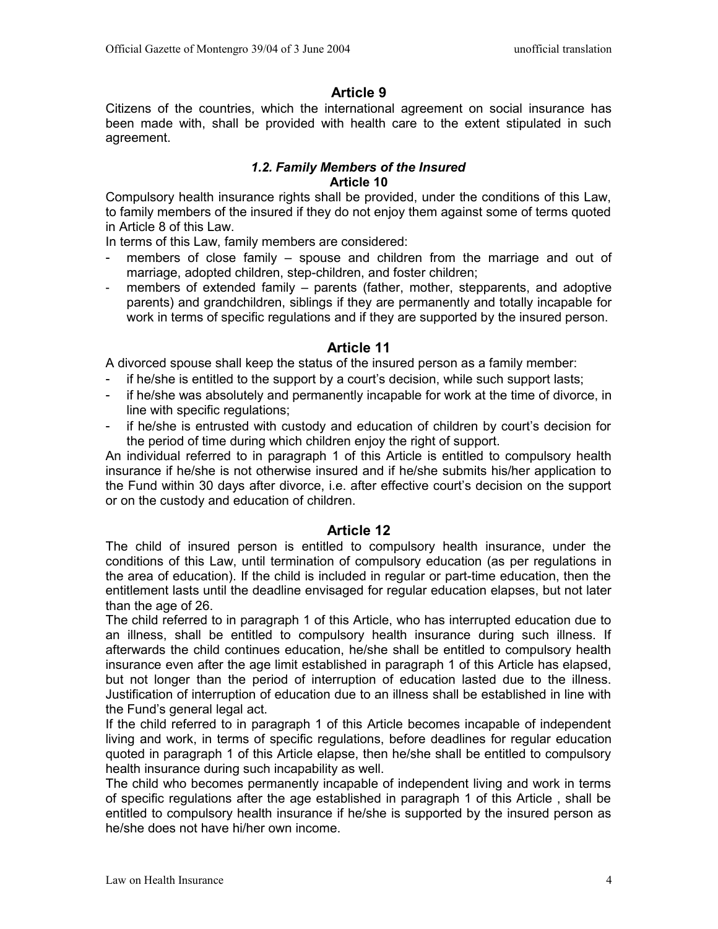Citizens of the countries, which the international agreement on social insurance has been made with, shall be provided with health care to the extent stipulated in such agreement.

### *1.2. Family Members of the Insured* **Article 10**

Compulsory health insurance rights shall be provided, under the conditions of this Law, to family members of the insured if they do not enjoy them against some of terms quoted in Article 8 of this Law.

In terms of this Law, family members are considered:

- members of close family  $-$  spouse and children from the marriage and out of marriage, adopted children, step-children, and foster children;
- members of extended family parents (father, mother, stepparents, and adoptive parents) and grandchildren, siblings if they are permanently and totally incapable for work in terms of specific regulations and if they are supported by the insured person.

# **Article 11**

A divorced spouse shall keep the status of the insured person as a family member:

- if he/she is entitled to the support by a court's decision, while such support lasts;
- if he/she was absolutely and permanently incapable for work at the time of divorce, in line with specific regulations;
- if he/she is entrusted with custody and education of children by court's decision for the period of time during which children enjoy the right of support.

An individual referred to in paragraph 1 of this Article is entitled to compulsory health insurance if he/she is not otherwise insured and if he/she submits his/her application to the Fund within 30 days after divorce, i.e. after effective court's decision on the support or on the custody and education of children.

# **Article 12**

The child of insured person is entitled to compulsory health insurance, under the conditions of this Law, until termination of compulsory education (as per regulations in the area of education). If the child is included in regular or part-time education, then the entitlement lasts until the deadline envisaged for regular education elapses, but not later than the age of 26.

The child referred to in paragraph 1 of this Article, who has interrupted education due to an illness, shall be entitled to compulsory health insurance during such illness. If afterwards the child continues education, he/she shall be entitled to compulsory health insurance even after the age limit established in paragraph 1 of this Article has elapsed, but not longer than the period of interruption of education lasted due to the illness. Justification of interruption of education due to an illness shall be established in line with the Fund's general legal act.

If the child referred to in paragraph 1 of this Article becomes incapable of independent living and work, in terms of specific regulations, before deadlines for regular education quoted in paragraph 1 of this Article elapse, then he/she shall be entitled to compulsory health insurance during such incapability as well.

The child who becomes permanently incapable of independent living and work in terms of specific regulations after the age established in paragraph 1 of this Article , shall be entitled to compulsory health insurance if he/she is supported by the insured person as he/she does not have hi/her own income.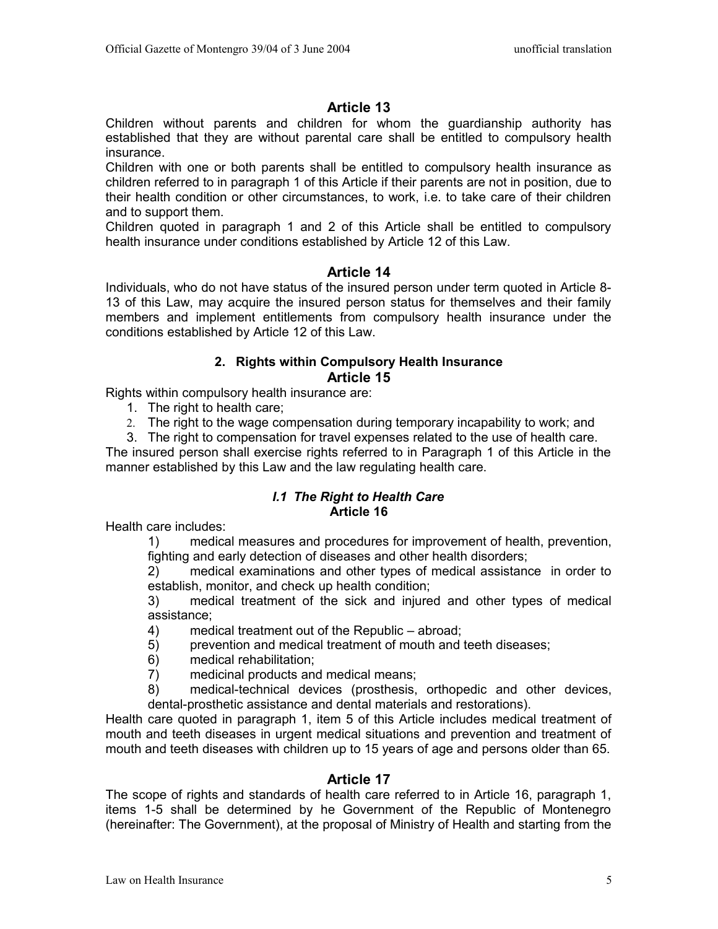Children without parents and children for whom the guardianship authority has established that they are without parental care shall be entitled to compulsory health insurance.

Children with one or both parents shall be entitled to compulsory health insurance as children referred to in paragraph 1 of this Article if their parents are not in position, due to their health condition or other circumstances, to work, i.e. to take care of their children and to support them.

Children quoted in paragraph 1 and 2 of this Article shall be entitled to compulsory health insurance under conditions established by Article 12 of this Law.

### **Article 14**

Individuals, who do not have status of the insured person under term quoted in Article 8- 13 of this Law, may acquire the insured person status for themselves and their family members and implement entitlements from compulsory health insurance under the conditions established by Article 12 of this Law.

# **2. Rights within Compulsory Health Insurance Article 15**

Rights within compulsory health insurance are:

1. The right to health care;

2. The right to the wage compensation during temporary incapability to work; and

3. The right to compensation for travel expenses related to the use of health care.

The insured person shall exercise rights referred to in Paragraph 1 of this Article in the manner established by this Law and the law regulating health care.

### *I.1 The Right to Health Care* **Article 16**

Health care includes:

1) medical measures and procedures for improvement of health, prevention, fighting and early detection of diseases and other health disorders;

2) medical examinations and other types of medical assistance in order to establish, monitor, and check up health condition;

3) medical treatment of the sick and injured and other types of medical assistance;

4) medical treatment out of the Republic – abroad;

- 5) prevention and medical treatment of mouth and teeth diseases;
- 6) medical rehabilitation;<br>7) medicinal products and
- medicinal products and medical means;

8) medical-technical devices (prosthesis, orthopedic and other devices, dental-prosthetic assistance and dental materials and restorations).

Health care quoted in paragraph 1, item 5 of this Article includes medical treatment of mouth and teeth diseases in urgent medical situations and prevention and treatment of mouth and teeth diseases with children up to 15 years of age and persons older than 65.

# **Article 17**

The scope of rights and standards of health care referred to in Article 16, paragraph 1, items 1-5 shall be determined by he Government of the Republic of Montenegro (hereinafter: The Government), at the proposal of Ministry of Health and starting from the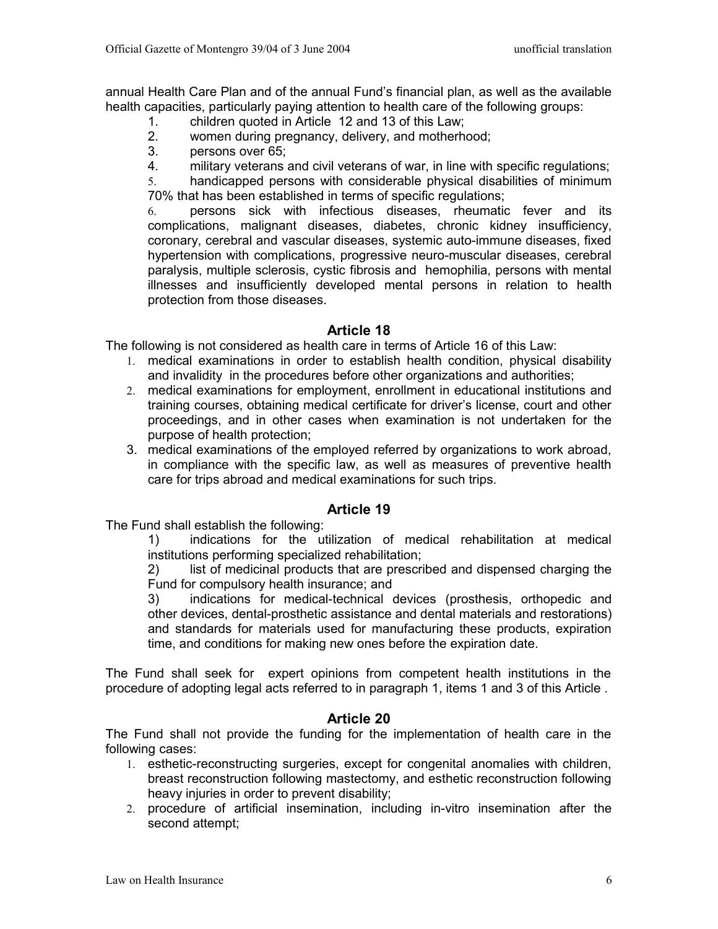annual Health Care Plan and of the annual Fund's financial plan, as well as the available health capacities, particularly paying attention to health care of the following groups:

- 1. children quoted in Article 12 and 13 of this Law;<br>2. women during pregnancy, delivery, and motherho
- 2. women during pregnancy, delivery, and motherhood;<br>3. persons over 65:
- 3. persons over 65;
- 4. military veterans and civil veterans of war, in line with specific regulations;

5. handicapped persons with considerable physical disabilities of minimum 70% that has been established in terms of specific regulations;

6. persons sick with infectious diseases, rheumatic fever and its complications, malignant diseases, diabetes, chronic kidney insufficiency, coronary, cerebral and vascular diseases, systemic auto-immune diseases, fixed hypertension with complications, progressive neuro-muscular diseases, cerebral paralysis, multiple sclerosis, cystic fibrosis and hemophilia, persons with mental illnesses and insufficiently developed mental persons in relation to health protection from those diseases.

### **Article 18**

The following is not considered as health care in terms of Article 16 of this Law:

- 1. medical examinations in order to establish health condition, physical disability and invalidity in the procedures before other organizations and authorities;
- 2. medical examinations for employment, enrollment in educational institutions and training courses, obtaining medical certificate for driver's license, court and other proceedings, and in other cases when examination is not undertaken for the purpose of health protection;
- 3. medical examinations of the employed referred by organizations to work abroad, in compliance with the specific law, as well as measures of preventive health care for trips abroad and medical examinations for such trips.

# **Article 19**

The Fund shall establish the following:

1) indications for the utilization of medical rehabilitation at medical institutions performing specialized rehabilitation;

2) list of medicinal products that are prescribed and dispensed charging the Fund for compulsory health insurance; and

3) indications for medical-technical devices (prosthesis, orthopedic and other devices, dental-prosthetic assistance and dental materials and restorations) and standards for materials used for manufacturing these products, expiration time, and conditions for making new ones before the expiration date.

The Fund shall seek for expert opinions from competent health institutions in the procedure of adopting legal acts referred to in paragraph 1, items 1 and 3 of this Article .

### **Article 20**

The Fund shall not provide the funding for the implementation of health care in the following cases:

- 1. esthetic-reconstructing surgeries, except for congenital anomalies with children, breast reconstruction following mastectomy, and esthetic reconstruction following heavy injuries in order to prevent disability;
- 2. procedure of artificial insemination, including in-vitro insemination after the second attempt;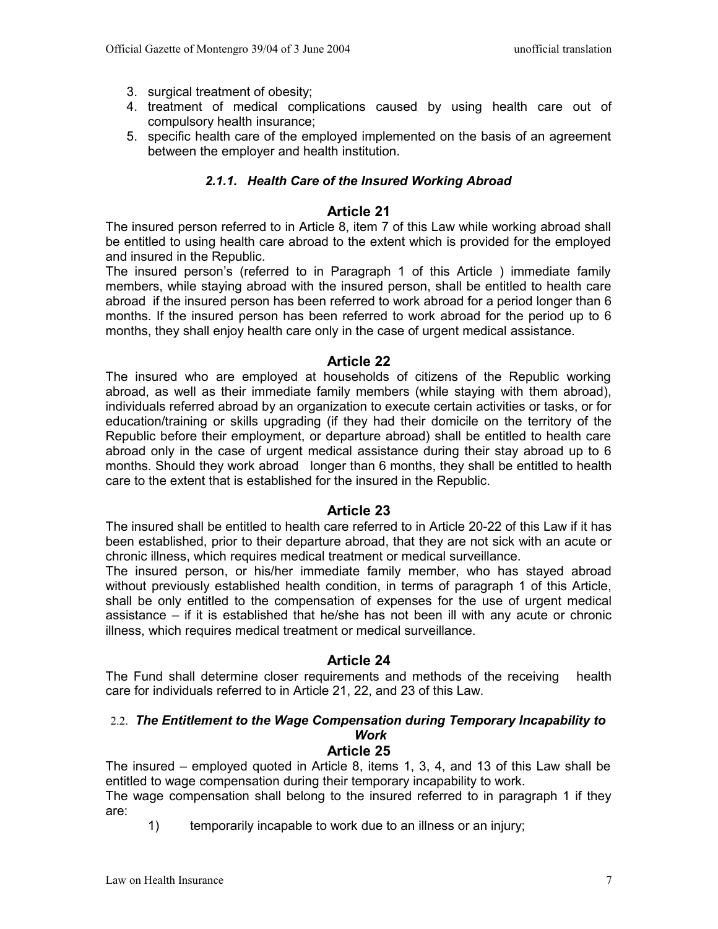- 3. surgical treatment of obesity;
- 4. treatment of medical complications caused by using health care out of compulsory health insurance;
- 5. specific health care of the employed implemented on the basis of an agreement between the employer and health institution.

### *2.1.1. Health Care of the Insured Working Abroad*

### **Article 21**

The insured person referred to in Article 8, item 7 of this Law while working abroad shall be entitled to using health care abroad to the extent which is provided for the employed and insured in the Republic.

The insured person's (referred to in Paragraph 1 of this Article ) immediate family members, while staying abroad with the insured person, shall be entitled to health care abroad if the insured person has been referred to work abroad for a period longer than 6 months. If the insured person has been referred to work abroad for the period up to 6 months, they shall enjoy health care only in the case of urgent medical assistance.

### **Article 22**

The insured who are employed at households of citizens of the Republic working abroad, as well as their immediate family members (while staying with them abroad), individuals referred abroad by an organization to execute certain activities or tasks, or for education/training or skills upgrading (if they had their domicile on the territory of the Republic before their employment, or departure abroad) shall be entitled to health care abroad only in the case of urgent medical assistance during their stay abroad up to 6 months. Should they work abroad longer than 6 months, they shall be entitled to health care to the extent that is established for the insured in the Republic.

### **Article 23**

The insured shall be entitled to health care referred to in Article 20-22 of this Law if it has been established, prior to their departure abroad, that they are not sick with an acute or chronic illness, which requires medical treatment or medical surveillance.

The insured person, or his/her immediate family member, who has stayed abroad without previously established health condition, in terms of paragraph 1 of this Article, shall be only entitled to the compensation of expenses for the use of urgent medical assistance – if it is established that he/she has not been ill with any acute or chronic illness, which requires medical treatment or medical surveillance.

# **Article 24**

The Fund shall determine closer requirements and methods of the receiving health care for individuals referred to in Article 21, 22, and 23 of this Law.

# 2.2. *The Entitlement to the Wage Compensation during Temporary Incapability to Work*

## **Article 25**

The insured – employed quoted in Article 8, items 1, 3, 4, and 13 of this Law shall be entitled to wage compensation during their temporary incapability to work.

The wage compensation shall belong to the insured referred to in paragraph 1 if they are:

1) temporarily incapable to work due to an illness or an injury;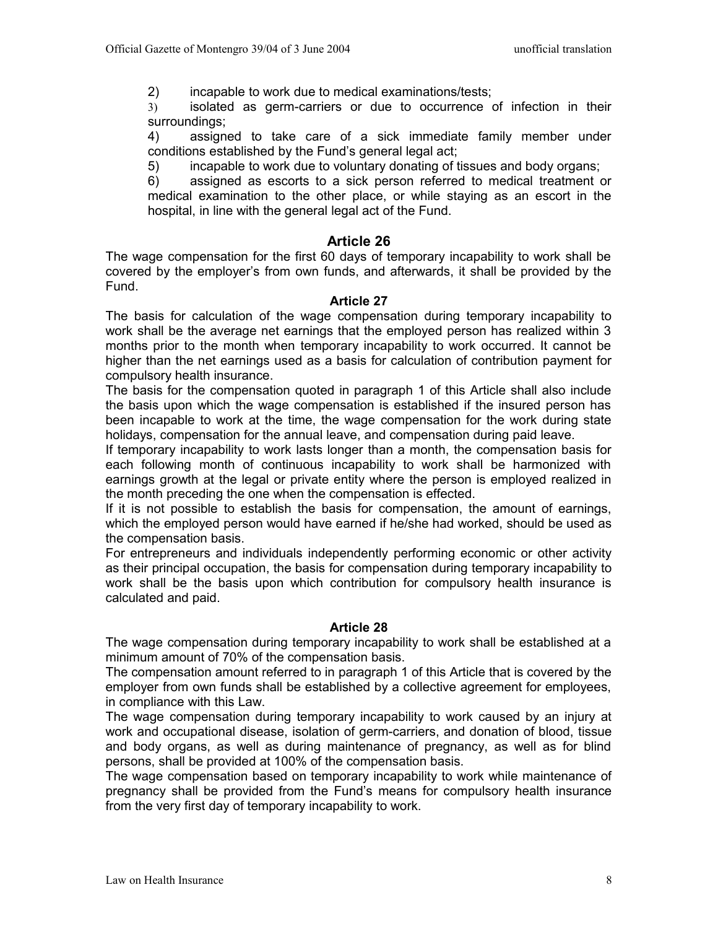2) incapable to work due to medical examinations/tests;

3) isolated as germ-carriers or due to occurrence of infection in their surroundings;

4) assigned to take care of a sick immediate family member under conditions established by the Fund's general legal act;

5) incapable to work due to voluntary donating of tissues and body organs;

6) assigned as escorts to a sick person referred to medical treatment or medical examination to the other place, or while staying as an escort in the hospital, in line with the general legal act of the Fund.

### **Article 26**

The wage compensation for the first 60 days of temporary incapability to work shall be covered by the employer's from own funds, and afterwards, it shall be provided by the Fund.

#### **Article 27**

The basis for calculation of the wage compensation during temporary incapability to work shall be the average net earnings that the employed person has realized within 3 months prior to the month when temporary incapability to work occurred. It cannot be higher than the net earnings used as a basis for calculation of contribution payment for compulsory health insurance.

The basis for the compensation quoted in paragraph 1 of this Article shall also include the basis upon which the wage compensation is established if the insured person has been incapable to work at the time, the wage compensation for the work during state holidays, compensation for the annual leave, and compensation during paid leave.

If temporary incapability to work lasts longer than a month, the compensation basis for each following month of continuous incapability to work shall be harmonized with earnings growth at the legal or private entity where the person is employed realized in the month preceding the one when the compensation is effected.

If it is not possible to establish the basis for compensation, the amount of earnings, which the employed person would have earned if he/she had worked, should be used as the compensation basis.

For entrepreneurs and individuals independently performing economic or other activity as their principal occupation, the basis for compensation during temporary incapability to work shall be the basis upon which contribution for compulsory health insurance is calculated and paid.

### **Article 28**

The wage compensation during temporary incapability to work shall be established at a minimum amount of 70% of the compensation basis.

The compensation amount referred to in paragraph 1 of this Article that is covered by the employer from own funds shall be established by a collective agreement for employees, in compliance with this Law.

The wage compensation during temporary incapability to work caused by an injury at work and occupational disease, isolation of germ-carriers, and donation of blood, tissue and body organs, as well as during maintenance of pregnancy, as well as for blind persons, shall be provided at 100% of the compensation basis.

The wage compensation based on temporary incapability to work while maintenance of pregnancy shall be provided from the Fund's means for compulsory health insurance from the very first day of temporary incapability to work.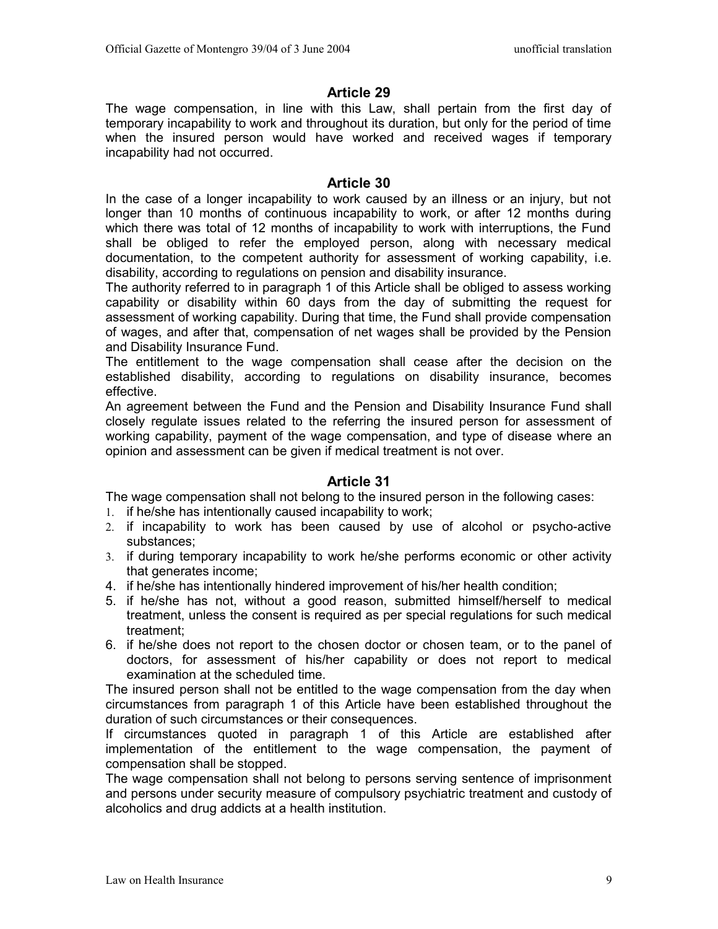The wage compensation, in line with this Law, shall pertain from the first day of temporary incapability to work and throughout its duration, but only for the period of time when the insured person would have worked and received wages if temporary incapability had not occurred.

### **Article 30**

In the case of a longer incapability to work caused by an illness or an injury, but not longer than 10 months of continuous incapability to work, or after 12 months during which there was total of 12 months of incapability to work with interruptions, the Fund shall be obliged to refer the employed person, along with necessary medical documentation, to the competent authority for assessment of working capability, i.e. disability, according to regulations on pension and disability insurance.

The authority referred to in paragraph 1 of this Article shall be obliged to assess working capability or disability within 60 days from the day of submitting the request for assessment of working capability. During that time, the Fund shall provide compensation of wages, and after that, compensation of net wages shall be provided by the Pension and Disability Insurance Fund.

The entitlement to the wage compensation shall cease after the decision on the established disability, according to regulations on disability insurance, becomes effective.

An agreement between the Fund and the Pension and Disability Insurance Fund shall closely regulate issues related to the referring the insured person for assessment of working capability, payment of the wage compensation, and type of disease where an opinion and assessment can be given if medical treatment is not over.

### **Article 31**

The wage compensation shall not belong to the insured person in the following cases:

- 1. if he/she has intentionally caused incapability to work;
- 2. if incapability to work has been caused by use of alcohol or psycho-active substances;
- 3. if during temporary incapability to work he/she performs economic or other activity that generates income;
- 4. if he/she has intentionally hindered improvement of his/her health condition;
- 5. if he/she has not, without a good reason, submitted himself/herself to medical treatment, unless the consent is required as per special regulations for such medical treatment;
- 6. if he/she does not report to the chosen doctor or chosen team, or to the panel of doctors, for assessment of his/her capability or does not report to medical examination at the scheduled time.

The insured person shall not be entitled to the wage compensation from the day when circumstances from paragraph 1 of this Article have been established throughout the duration of such circumstances or their consequences.

If circumstances quoted in paragraph 1 of this Article are established after implementation of the entitlement to the wage compensation, the payment of compensation shall be stopped.

The wage compensation shall not belong to persons serving sentence of imprisonment and persons under security measure of compulsory psychiatric treatment and custody of alcoholics and drug addicts at a health institution.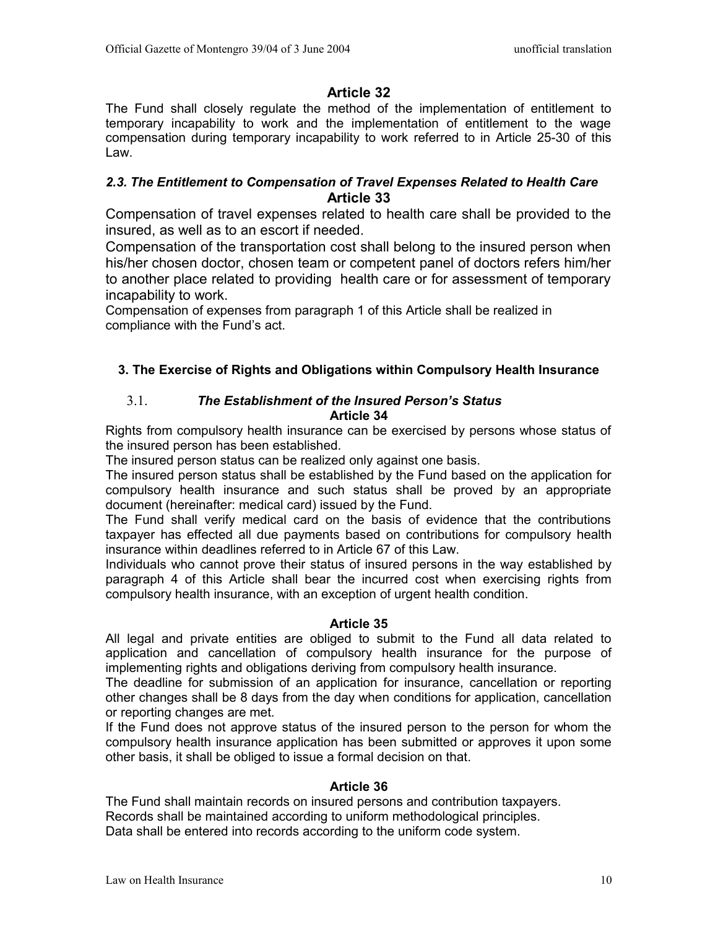The Fund shall closely regulate the method of the implementation of entitlement to temporary incapability to work and the implementation of entitlement to the wage compensation during temporary incapability to work referred to in Article 25-30 of this Law.

### *2.3. The Entitlement to Compensation of Travel Expenses Related to Health Care* **Article 33**

Compensation of travel expenses related to health care shall be provided to the insured, as well as to an escort if needed.

Compensation of the transportation cost shall belong to the insured person when his/her chosen doctor, chosen team or competent panel of doctors refers him/her to another place related to providing health care or for assessment of temporary incapability to work.

Compensation of expenses from paragraph 1 of this Article shall be realized in compliance with the Fund's act.

# **3. The Exercise of Rights and Obligations within Compulsory Health Insurance**

### 3.1. *The Establishment of the Insured Person's Status* **Article 34**

Rights from compulsory health insurance can be exercised by persons whose status of the insured person has been established.

The insured person status can be realized only against one basis.

The insured person status shall be established by the Fund based on the application for compulsory health insurance and such status shall be proved by an appropriate document (hereinafter: medical card) issued by the Fund.

The Fund shall verify medical card on the basis of evidence that the contributions taxpayer has effected all due payments based on contributions for compulsory health insurance within deadlines referred to in Article 67 of this Law.

Individuals who cannot prove their status of insured persons in the way established by paragraph 4 of this Article shall bear the incurred cost when exercising rights from compulsory health insurance, with an exception of urgent health condition.

### **Article 35**

All legal and private entities are obliged to submit to the Fund all data related to application and cancellation of compulsory health insurance for the purpose of implementing rights and obligations deriving from compulsory health insurance.

The deadline for submission of an application for insurance, cancellation or reporting other changes shall be 8 days from the day when conditions for application, cancellation or reporting changes are met.

If the Fund does not approve status of the insured person to the person for whom the compulsory health insurance application has been submitted or approves it upon some other basis, it shall be obliged to issue a formal decision on that.

# **Article 36**

The Fund shall maintain records on insured persons and contribution taxpayers. Records shall be maintained according to uniform methodological principles. Data shall be entered into records according to the uniform code system.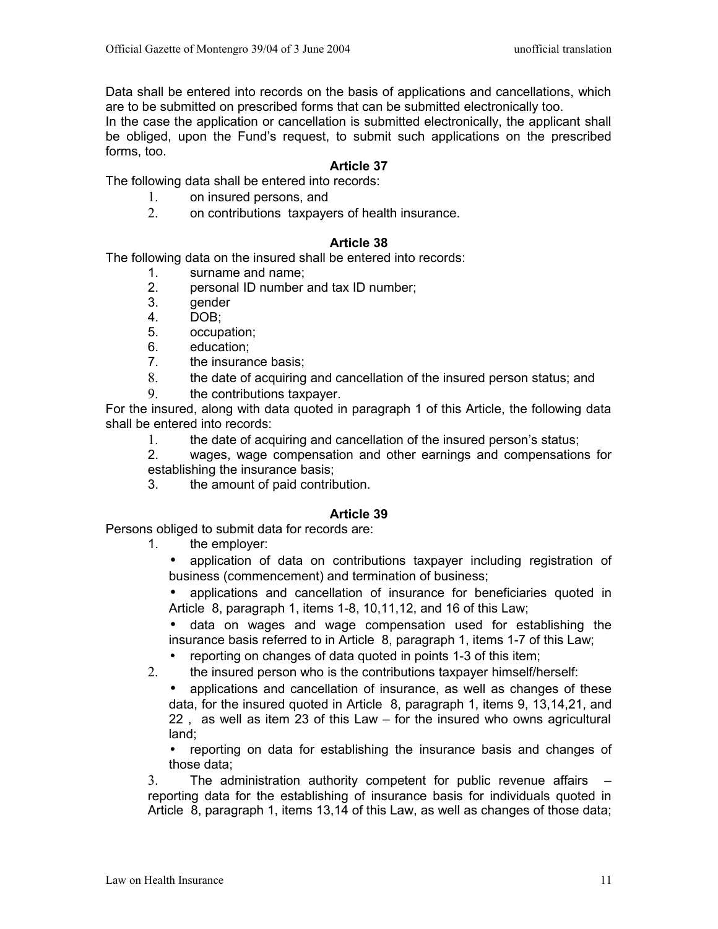Data shall be entered into records on the basis of applications and cancellations, which are to be submitted on prescribed forms that can be submitted electronically too.

In the case the application or cancellation is submitted electronically, the applicant shall be obliged, upon the Fund's request, to submit such applications on the prescribed forms, too.

#### **Article 37**

The following data shall be entered into records:

- 1. on insured persons, and
- 2. on contributions taxpayers of health insurance.

#### **Article 38**

The following data on the insured shall be entered into records:

- 1. surname and name;
- 2. personal ID number and tax ID number;
- 3. gender
- 4. DOB;
- 5. occupation;
- 6. education;
- 7. the insurance basis;
- 8. the date of acquiring and cancellation of the insured person status; and
- 9. the contributions taxpayer.

For the insured, along with data quoted in paragraph 1 of this Article, the following data shall be entered into records:

- 1. the date of acquiring and cancellation of the insured person's status;
- 2. wages, wage compensation and other earnings and compensations for establishing the insurance basis;
- 3. the amount of paid contribution.

#### **Article 39**

Persons obliged to submit data for records are:

- 1. the employer:
	- application of data on contributions taxpayer including registration of business (commencement) and termination of business;
	- applications and cancellation of insurance for beneficiaries quoted in Article 8, paragraph 1, items 1-8, 10,11,12, and 16 of this Law;
	- data on wages and wage compensation used for establishing the insurance basis referred to in Article 8, paragraph 1, items 1-7 of this Law;
	- reporting on changes of data quoted in points 1-3 of this item;
- 2. the insured person who is the contributions taxpayer himself/herself:
	- applications and cancellation of insurance, as well as changes of these data, for the insured quoted in Article 8, paragraph 1, items 9, 13,14,21, and 22 , as well as item 23 of this Law – for the insured who owns agricultural land;

• reporting on data for establishing the insurance basis and changes of those data;

3. The administration authority competent for public revenue affairs – reporting data for the establishing of insurance basis for individuals quoted in Article 8, paragraph 1, items 13,14 of this Law, as well as changes of those data;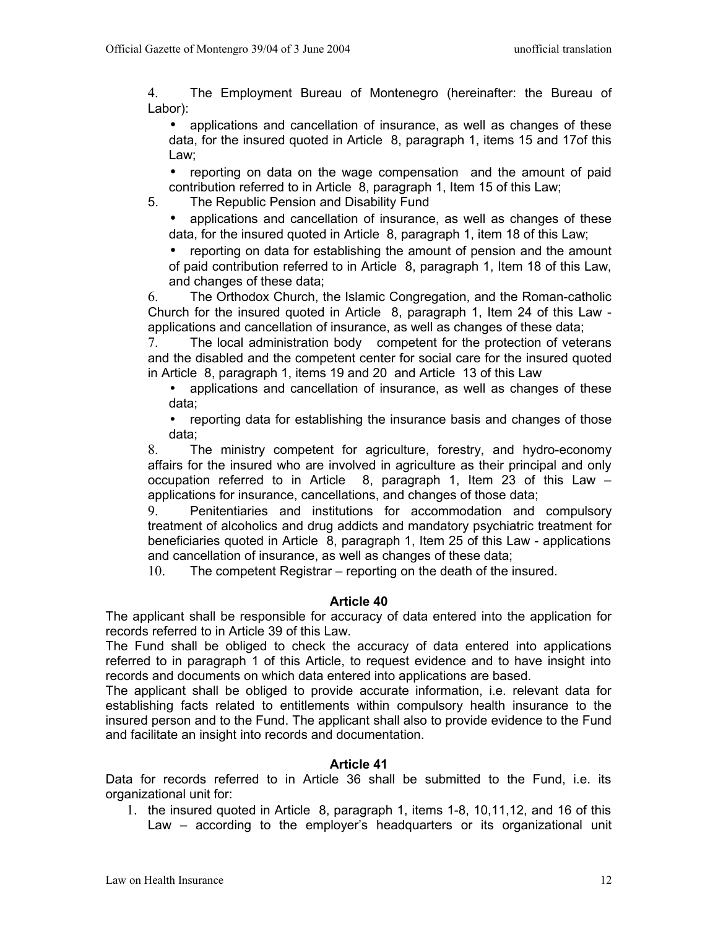4. The Employment Bureau of Montenegro (hereinafter: the Bureau of Labor):

• applications and cancellation of insurance, as well as changes of these data, for the insured quoted in Article 8, paragraph 1, items 15 and 17of this Law;

• reporting on data on the wage compensation and the amount of paid contribution referred to in Article 8, paragraph 1, Item 15 of this Law;

5. The Republic Pension and Disability Fund

• applications and cancellation of insurance, as well as changes of these data, for the insured quoted in Article 8, paragraph 1, item 18 of this Law;

• reporting on data for establishing the amount of pension and the amount of paid contribution referred to in Article 8, paragraph 1, Item 18 of this Law, and changes of these data;

6. The Orthodox Church, the Islamic Congregation, and the Roman-catholic Church for the insured quoted in Article 8, paragraph 1, Item 24 of this Law applications and cancellation of insurance, as well as changes of these data;

7. The local administration body competent for the protection of veterans and the disabled and the competent center for social care for the insured quoted in Article 8, paragraph 1, items 19 and 20 and Article 13 of this Law

• applications and cancellation of insurance, as well as changes of these data;

• reporting data for establishing the insurance basis and changes of those data;

8. The ministry competent for agriculture, forestry, and hydro-economy affairs for the insured who are involved in agriculture as their principal and only occupation referred to in Article 8, paragraph 1, Item 23 of this Law – applications for insurance, cancellations, and changes of those data;

9. Penitentiaries and institutions for accommodation and compulsory treatment of alcoholics and drug addicts and mandatory psychiatric treatment for beneficiaries quoted in Article 8, paragraph 1, Item 25 of this Law - applications and cancellation of insurance, as well as changes of these data;

10. The competent Registrar – reporting on the death of the insured.

#### **Article 40**

The applicant shall be responsible for accuracy of data entered into the application for records referred to in Article 39 of this Law.

The Fund shall be obliged to check the accuracy of data entered into applications referred to in paragraph 1 of this Article, to request evidence and to have insight into records and documents on which data entered into applications are based.

The applicant shall be obliged to provide accurate information, i.e. relevant data for establishing facts related to entitlements within compulsory health insurance to the insured person and to the Fund. The applicant shall also to provide evidence to the Fund and facilitate an insight into records and documentation.

### **Article 41**

Data for records referred to in Article 36 shall be submitted to the Fund, i.e. its organizational unit for:

1. the insured quoted in Article 8, paragraph 1, items 1-8, 10,11,12, and 16 of this Law – according to the employer's headquarters or its organizational unit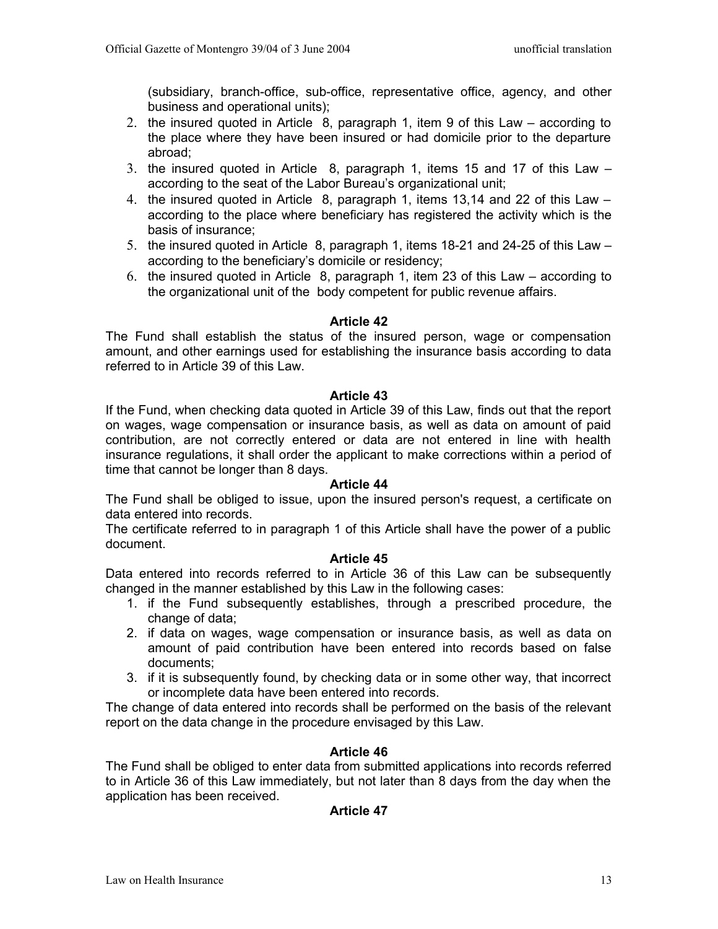(subsidiary, branch-office, sub-office, representative office, agency, and other business and operational units);

- 2. the insured quoted in Article 8, paragraph 1, item 9 of this Law according to the place where they have been insured or had domicile prior to the departure abroad;
- 3. the insured quoted in Article 8, paragraph 1, items 15 and 17 of this Law according to the seat of the Labor Bureau's organizational unit;
- 4. the insured quoted in Article 8, paragraph 1, items 13,14 and 22 of this Law according to the place where beneficiary has registered the activity which is the basis of insurance;
- 5. the insured quoted in Article 8, paragraph 1, items 18-21 and 24-25 of this Law according to the beneficiary's domicile or residency;
- 6. the insured quoted in Article 8, paragraph 1, item 23 of this Law according to the organizational unit of the body competent for public revenue affairs.

#### **Article 42**

The Fund shall establish the status of the insured person, wage or compensation amount, and other earnings used for establishing the insurance basis according to data referred to in Article 39 of this Law.

#### **Article 43**

If the Fund, when checking data quoted in Article 39 of this Law, finds out that the report on wages, wage compensation or insurance basis, as well as data on amount of paid contribution, are not correctly entered or data are not entered in line with health insurance regulations, it shall order the applicant to make corrections within a period of time that cannot be longer than 8 days.

#### **Article 44**

The Fund shall be obliged to issue, upon the insured person's request, a certificate on data entered into records.

The certificate referred to in paragraph 1 of this Article shall have the power of a public document.

#### **Article 45**

Data entered into records referred to in Article 36 of this Law can be subsequently changed in the manner established by this Law in the following cases:

- 1. if the Fund subsequently establishes, through a prescribed procedure, the change of data;
- 2. if data on wages, wage compensation or insurance basis, as well as data on amount of paid contribution have been entered into records based on false documents;
- 3. if it is subsequently found, by checking data or in some other way, that incorrect or incomplete data have been entered into records.

The change of data entered into records shall be performed on the basis of the relevant report on the data change in the procedure envisaged by this Law.

### **Article 46**

The Fund shall be obliged to enter data from submitted applications into records referred to in Article 36 of this Law immediately, but not later than 8 days from the day when the application has been received.

### **Article 47**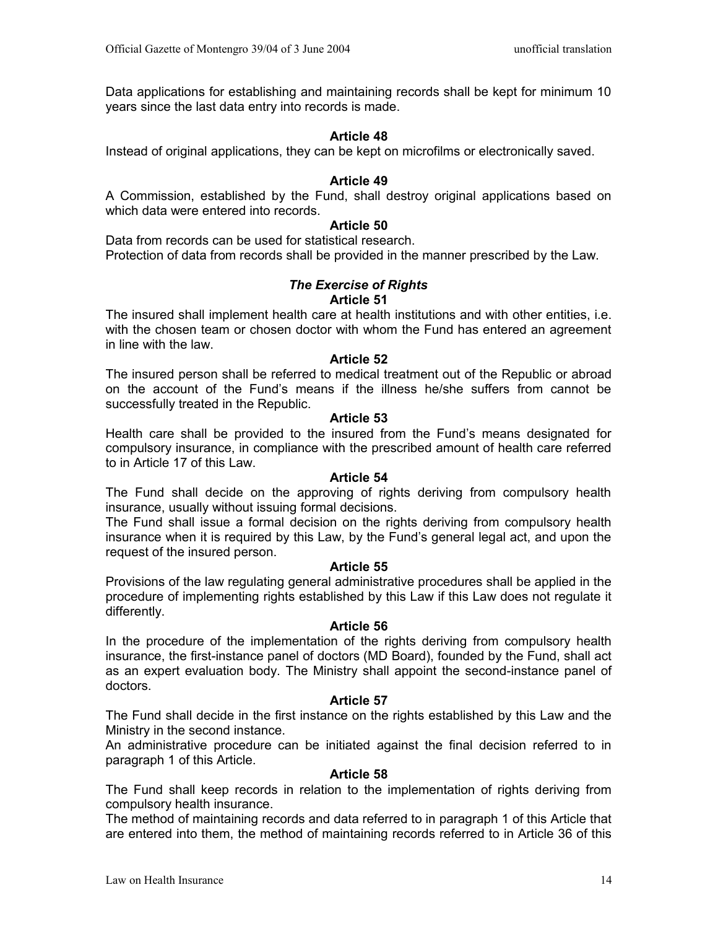Data applications for establishing and maintaining records shall be kept for minimum 10 years since the last data entry into records is made.

#### **Article 48**

Instead of original applications, they can be kept on microfilms or electronically saved.

### **Article 49**

A Commission, established by the Fund, shall destroy original applications based on which data were entered into records.

#### **Article 50**

Data from records can be used for statistical research. Protection of data from records shall be provided in the manner prescribed by the Law.

#### *The Exercise of Rights* **Article 51**

The insured shall implement health care at health institutions and with other entities, i.e. with the chosen team or chosen doctor with whom the Fund has entered an agreement in line with the law.

#### **Article 52**

The insured person shall be referred to medical treatment out of the Republic or abroad on the account of the Fund's means if the illness he/she suffers from cannot be successfully treated in the Republic.

#### **Article 53**

Health care shall be provided to the insured from the Fund's means designated for compulsory insurance, in compliance with the prescribed amount of health care referred to in Article 17 of this Law.

#### **Article 54**

The Fund shall decide on the approving of rights deriving from compulsory health insurance, usually without issuing formal decisions.

The Fund shall issue a formal decision on the rights deriving from compulsory health insurance when it is required by this Law, by the Fund's general legal act, and upon the request of the insured person.

#### **Article 55**

Provisions of the law regulating general administrative procedures shall be applied in the procedure of implementing rights established by this Law if this Law does not regulate it differently.

#### **Article 56**

In the procedure of the implementation of the rights deriving from compulsory health insurance, the first-instance panel of doctors (MD Board), founded by the Fund, shall act as an expert evaluation body. The Ministry shall appoint the second-instance panel of doctors.

#### **Article 57**

The Fund shall decide in the first instance on the rights established by this Law and the Ministry in the second instance.

An administrative procedure can be initiated against the final decision referred to in paragraph 1 of this Article.

#### **Article 58**

The Fund shall keep records in relation to the implementation of rights deriving from compulsory health insurance.

The method of maintaining records and data referred to in paragraph 1 of this Article that are entered into them, the method of maintaining records referred to in Article 36 of this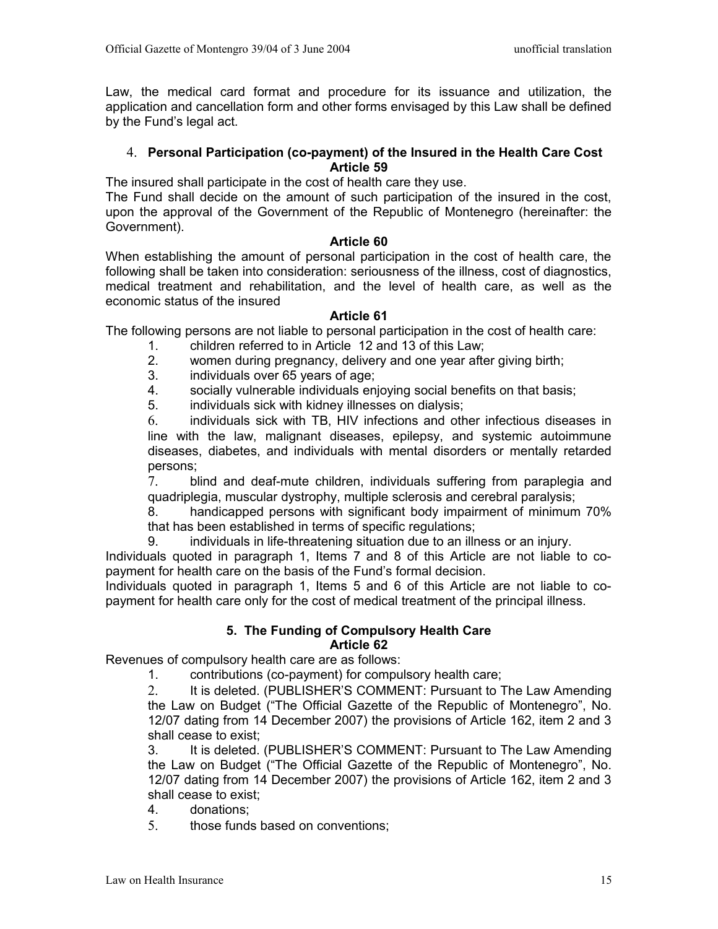Law, the medical card format and procedure for its issuance and utilization, the application and cancellation form and other forms envisaged by this Law shall be defined by the Fund's legal act.

### 4. **Personal Participation (co-payment) of the Insured in the Health Care Cost Article 59**

The insured shall participate in the cost of health care they use.

The Fund shall decide on the amount of such participation of the insured in the cost, upon the approval of the Government of the Republic of Montenegro (hereinafter: the Government).

#### **Article 60**

When establishing the amount of personal participation in the cost of health care, the following shall be taken into consideration: seriousness of the illness, cost of diagnostics, medical treatment and rehabilitation, and the level of health care, as well as the economic status of the insured

### **Article 61**

The following persons are not liable to personal participation in the cost of health care:

- 1. children referred to in Article 12 and 13 of this Law;
- 2. women during pregnancy, delivery and one year after giving birth;
- 3. individuals over 65 years of age;
- 4. socially vulnerable individuals enjoying social benefits on that basis;
- 5. individuals sick with kidney illnesses on dialysis;

6. individuals sick with TB, HIV infections and other infectious diseases in line with the law, malignant diseases, epilepsy, and systemic autoimmune diseases, diabetes, and individuals with mental disorders or mentally retarded persons;

7. blind and deaf-mute children, individuals suffering from paraplegia and quadriplegia, muscular dystrophy, multiple sclerosis and cerebral paralysis;

8. handicapped persons with significant body impairment of minimum 70% that has been established in terms of specific regulations;

9. individuals in life-threatening situation due to an illness or an injury.

Individuals quoted in paragraph 1, Items 7 and 8 of this Article are not liable to copayment for health care on the basis of the Fund's formal decision.

Individuals quoted in paragraph 1, Items 5 and 6 of this Article are not liable to copayment for health care only for the cost of medical treatment of the principal illness.

#### **5. The Funding of Compulsory Health Care Article 62**

Revenues of compulsory health care are as follows:

1. contributions (co-payment) for compulsory health care;

2. It is deleted. (PUBLISHER'S COMMENT: Pursuant to The Law Amending the Law on Budget ("The Official Gazette of the Republic of Montenegro", No. 12/07 dating from 14 December 2007) the provisions of Article 162, item 2 and 3 shall cease to exist;

3. It is deleted. (PUBLISHER'S COMMENT: Pursuant to The Law Amending the Law on Budget ("The Official Gazette of the Republic of Montenegro", No. 12/07 dating from 14 December 2007) the provisions of Article 162, item 2 and 3 shall cease to exist;

- 4. donations;
- 5. those funds based on conventions;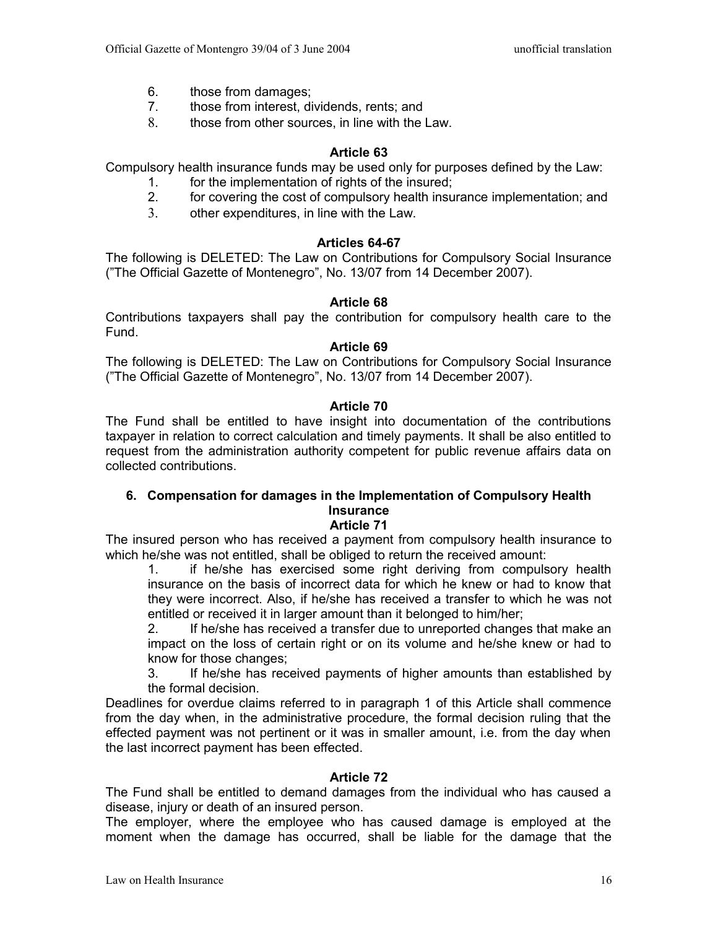- 6. those from damages;
- 7. those from interest, dividends, rents; and
- 8. those from other sources, in line with the Law.

Compulsory health insurance funds may be used only for purposes defined by the Law:

- 1. for the implementation of rights of the insured;
- 2. for covering the cost of compulsory health insurance implementation; and
- 3. other expenditures, in line with the Law.

#### **Articles 64-67**

The following is DELETED: The Law on Contributions for Compulsory Social Insurance ("The Official Gazette of Montenegro", No. 13/07 from 14 December 2007).

#### **Article 68**

Contributions taxpayers shall pay the contribution for compulsory health care to the Fund.

#### **Article 69**

The following is DELETED: The Law on Contributions for Compulsory Social Insurance ("The Official Gazette of Montenegro", No. 13/07 from 14 December 2007).

#### **Article 70**

The Fund shall be entitled to have insight into documentation of the contributions taxpayer in relation to correct calculation and timely payments. It shall be also entitled to request from the administration authority competent for public revenue affairs data on collected contributions.

# **6. Compensation for damages in the Implementation of Compulsory Health Insurance**

# **Article 71**

The insured person who has received a payment from compulsory health insurance to which he/she was not entitled, shall be obliged to return the received amount:

1. if he/she has exercised some right deriving from compulsory health insurance on the basis of incorrect data for which he knew or had to know that they were incorrect. Also, if he/she has received a transfer to which he was not entitled or received it in larger amount than it belonged to him/her;

2. If he/she has received a transfer due to unreported changes that make an impact on the loss of certain right or on its volume and he/she knew or had to know for those changes;

3. If he/she has received payments of higher amounts than established by the formal decision.

Deadlines for overdue claims referred to in paragraph 1 of this Article shall commence from the day when, in the administrative procedure, the formal decision ruling that the effected payment was not pertinent or it was in smaller amount, i.e. from the day when the last incorrect payment has been effected.

### **Article 72**

The Fund shall be entitled to demand damages from the individual who has caused a disease, injury or death of an insured person.

The employer, where the employee who has caused damage is employed at the moment when the damage has occurred, shall be liable for the damage that the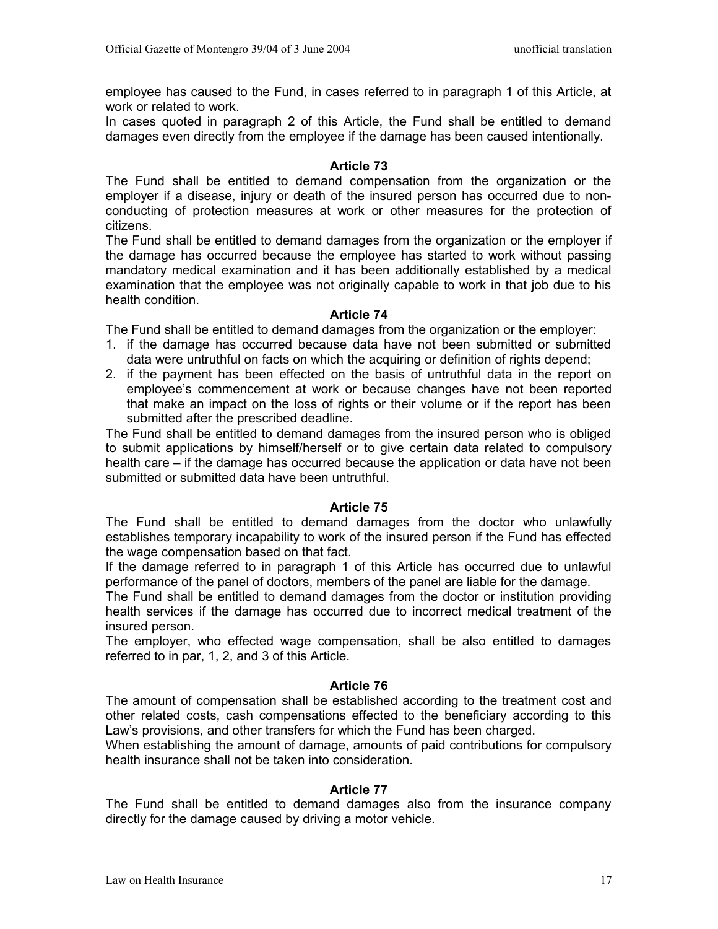employee has caused to the Fund, in cases referred to in paragraph 1 of this Article, at work or related to work.

In cases quoted in paragraph 2 of this Article, the Fund shall be entitled to demand damages even directly from the employee if the damage has been caused intentionally.

### **Article 73**

The Fund shall be entitled to demand compensation from the organization or the employer if a disease, injury or death of the insured person has occurred due to nonconducting of protection measures at work or other measures for the protection of citizens.

The Fund shall be entitled to demand damages from the organization or the employer if the damage has occurred because the employee has started to work without passing mandatory medical examination and it has been additionally established by a medical examination that the employee was not originally capable to work in that job due to his health condition.

#### **Article 74**

The Fund shall be entitled to demand damages from the organization or the employer:

- 1. if the damage has occurred because data have not been submitted or submitted data were untruthful on facts on which the acquiring or definition of rights depend;
- 2. if the payment has been effected on the basis of untruthful data in the report on employee's commencement at work or because changes have not been reported that make an impact on the loss of rights or their volume or if the report has been submitted after the prescribed deadline.

The Fund shall be entitled to demand damages from the insured person who is obliged to submit applications by himself/herself or to give certain data related to compulsory health care – if the damage has occurred because the application or data have not been submitted or submitted data have been untruthful.

### **Article 75**

The Fund shall be entitled to demand damages from the doctor who unlawfully establishes temporary incapability to work of the insured person if the Fund has effected the wage compensation based on that fact.

If the damage referred to in paragraph 1 of this Article has occurred due to unlawful performance of the panel of doctors, members of the panel are liable for the damage.

The Fund shall be entitled to demand damages from the doctor or institution providing health services if the damage has occurred due to incorrect medical treatment of the insured person.

The employer, who effected wage compensation, shall be also entitled to damages referred to in par, 1, 2, and 3 of this Article.

#### **Article 76**

The amount of compensation shall be established according to the treatment cost and other related costs, cash compensations effected to the beneficiary according to this Law's provisions, and other transfers for which the Fund has been charged.

When establishing the amount of damage, amounts of paid contributions for compulsory health insurance shall not be taken into consideration.

### **Article 77**

The Fund shall be entitled to demand damages also from the insurance company directly for the damage caused by driving a motor vehicle.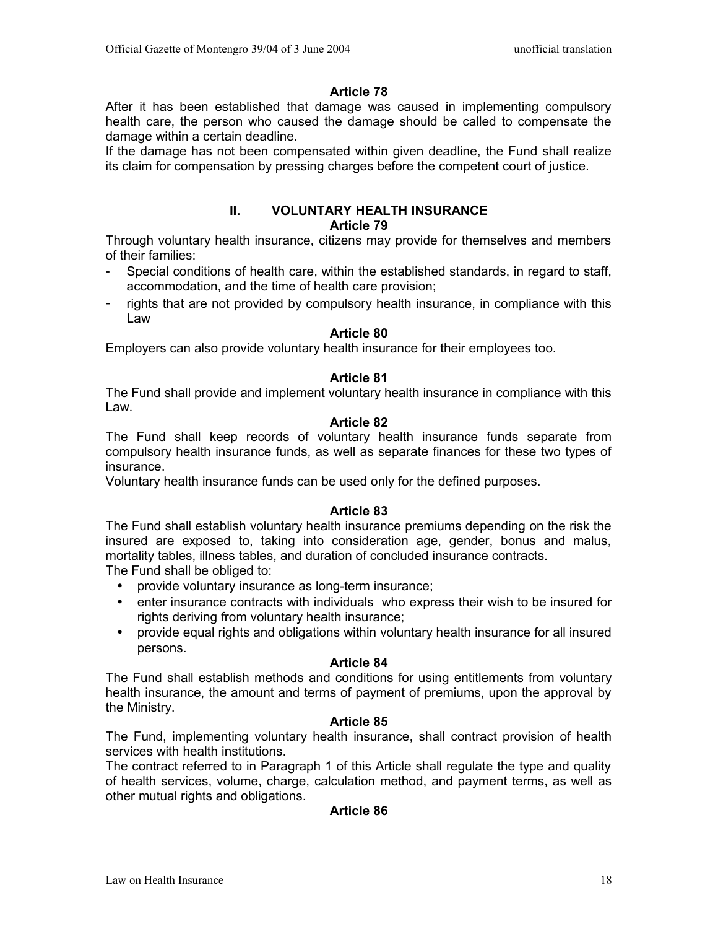After it has been established that damage was caused in implementing compulsory health care, the person who caused the damage should be called to compensate the damage within a certain deadline.

If the damage has not been compensated within given deadline, the Fund shall realize its claim for compensation by pressing charges before the competent court of justice.

#### **II. VOLUNTARY HEALTH INSURANCE Article 79**

Through voluntary health insurance, citizens may provide for themselves and members of their families:

- Special conditions of health care, within the established standards, in regard to staff, accommodation, and the time of health care provision;
- rights that are not provided by compulsory health insurance, in compliance with this Law

### **Article 80**

Employers can also provide voluntary health insurance for their employees too.

### **Article 81**

The Fund shall provide and implement voluntary health insurance in compliance with this Law.

#### **Article 82**

The Fund shall keep records of voluntary health insurance funds separate from compulsory health insurance funds, as well as separate finances for these two types of insurance.

Voluntary health insurance funds can be used only for the defined purposes.

### **Article 83**

The Fund shall establish voluntary health insurance premiums depending on the risk the insured are exposed to, taking into consideration age, gender, bonus and malus, mortality tables, illness tables, and duration of concluded insurance contracts.

The Fund shall be obliged to:

- provide voluntary insurance as long-term insurance;
- enter insurance contracts with individuals who express their wish to be insured for rights deriving from voluntary health insurance;
- provide equal rights and obligations within voluntary health insurance for all insured persons.

### **Article 84**

The Fund shall establish methods and conditions for using entitlements from voluntary health insurance, the amount and terms of payment of premiums, upon the approval by the Ministry.

### **Article 85**

The Fund, implementing voluntary health insurance, shall contract provision of health services with health institutions.

The contract referred to in Paragraph 1 of this Article shall regulate the type and quality of health services, volume, charge, calculation method, and payment terms, as well as other mutual rights and obligations.

### **Article 86**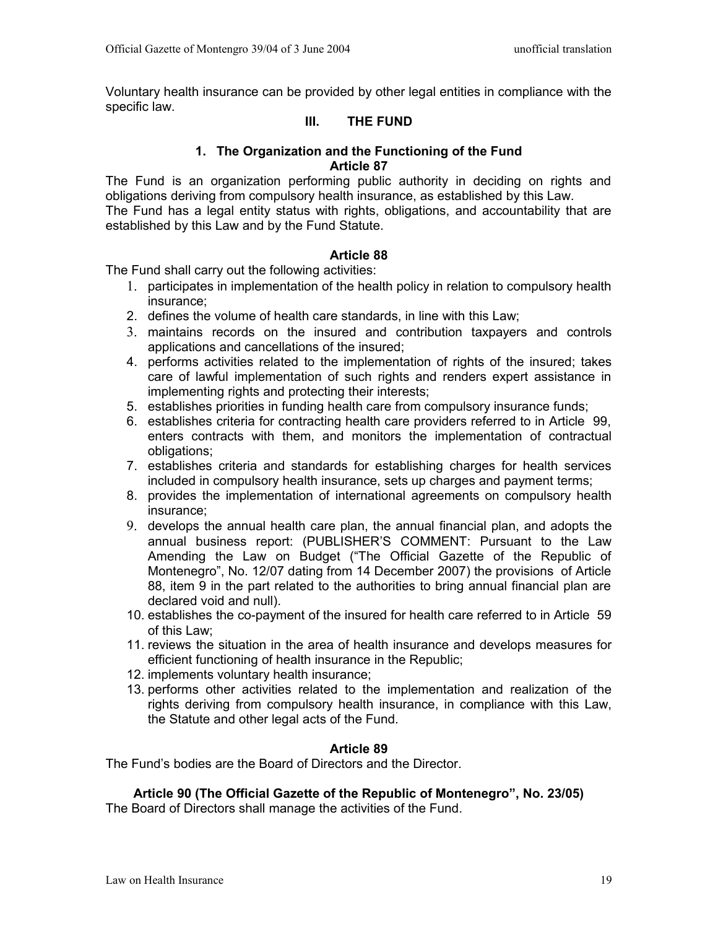Voluntary health insurance can be provided by other legal entities in compliance with the specific law.

### **III. THE FUND**

#### **1. The Organization and the Functioning of the Fund Article 87**

The Fund is an organization performing public authority in deciding on rights and obligations deriving from compulsory health insurance, as established by this Law. The Fund has a legal entity status with rights, obligations, and accountability that are established by this Law and by the Fund Statute.

### **Article 88**

The Fund shall carry out the following activities:

- 1. participates in implementation of the health policy in relation to compulsory health insurance;
- 2. defines the volume of health care standards, in line with this Law;
- 3. maintains records on the insured and contribution taxpayers and controls applications and cancellations of the insured;
- 4. performs activities related to the implementation of rights of the insured; takes care of lawful implementation of such rights and renders expert assistance in implementing rights and protecting their interests;
- 5. establishes priorities in funding health care from compulsory insurance funds;
- 6. establishes criteria for contracting health care providers referred to in Article 99, enters contracts with them, and monitors the implementation of contractual obligations;
- 7. establishes criteria and standards for establishing charges for health services included in compulsory health insurance, sets up charges and payment terms;
- 8. provides the implementation of international agreements on compulsory health insurance;
- 9. develops the annual health care plan, the annual financial plan, and adopts the annual business report: (PUBLISHER'S COMMENT: Pursuant to the Law Amending the Law on Budget ("The Official Gazette of the Republic of Montenegro", No. 12/07 dating from 14 December 2007) the provisions of Article 88, item 9 in the part related to the authorities to bring annual financial plan are declared void and null).
- 10. establishes the co-payment of the insured for health care referred to in Article 59 of this Law;
- 11. reviews the situation in the area of health insurance and develops measures for efficient functioning of health insurance in the Republic;
- 12. implements voluntary health insurance;
- 13. performs other activities related to the implementation and realization of the rights deriving from compulsory health insurance, in compliance with this Law, the Statute and other legal acts of the Fund.

### **Article 89**

The Fund's bodies are the Board of Directors and the Director.

**Article 90 (The Official Gazette of the Republic of Montenegro", No. 23/05)** The Board of Directors shall manage the activities of the Fund.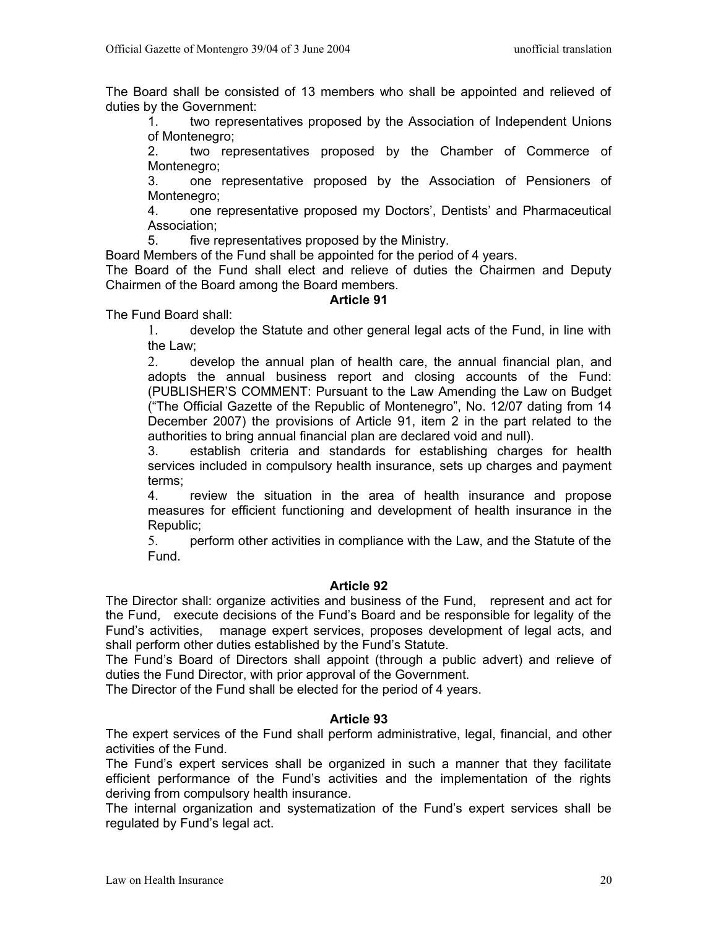The Board shall be consisted of 13 members who shall be appointed and relieved of duties by the Government:

1. two representatives proposed by the Association of Independent Unions of Montenegro;

2. two representatives proposed by the Chamber of Commerce of Montenegro;

3. one representative proposed by the Association of Pensioners of Montenegro;

4. one representative proposed my Doctors', Dentists' and Pharmaceutical Association;

5. five representatives proposed by the Ministry.

Board Members of the Fund shall be appointed for the period of 4 years.

The Board of the Fund shall elect and relieve of duties the Chairmen and Deputy Chairmen of the Board among the Board members.

#### **Article 91**

The Fund Board shall:

1. develop the Statute and other general legal acts of the Fund, in line with the Law;

2. develop the annual plan of health care, the annual financial plan, and adopts the annual business report and closing accounts of the Fund: (PUBLISHER'S COMMENT: Pursuant to the Law Amending the Law on Budget ("The Official Gazette of the Republic of Montenegro", No. 12/07 dating from 14 December 2007) the provisions of Article 91, item 2 in the part related to the authorities to bring annual financial plan are declared void and null).

3. establish criteria and standards for establishing charges for health services included in compulsory health insurance, sets up charges and payment terms;

4. review the situation in the area of health insurance and propose measures for efficient functioning and development of health insurance in the Republic;

5. perform other activities in compliance with the Law, and the Statute of the Fund.

### **Article 92**

The Director shall: organize activities and business of the Fund, represent and act for the Fund, execute decisions of the Fund's Board and be responsible for legality of the Fund's activities, manage expert services, proposes development of legal acts, and shall perform other duties established by the Fund's Statute.

The Fund's Board of Directors shall appoint (through a public advert) and relieve of duties the Fund Director, with prior approval of the Government.

The Director of the Fund shall be elected for the period of 4 years.

### **Article 93**

The expert services of the Fund shall perform administrative, legal, financial, and other activities of the Fund.

The Fund's expert services shall be organized in such a manner that they facilitate efficient performance of the Fund's activities and the implementation of the rights deriving from compulsory health insurance.

The internal organization and systematization of the Fund's expert services shall be regulated by Fund's legal act.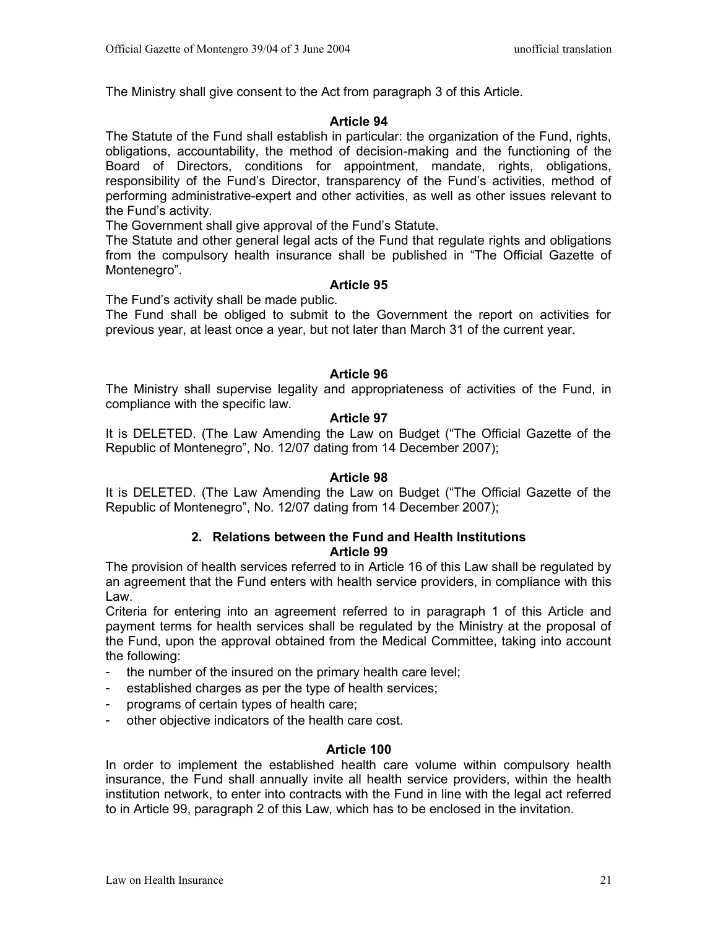The Ministry shall give consent to the Act from paragraph 3 of this Article.

### **Article 94**

The Statute of the Fund shall establish in particular: the organization of the Fund, rights, obligations, accountability, the method of decision-making and the functioning of the Board of Directors, conditions for appointment, mandate, rights, obligations, responsibility of the Fund's Director, transparency of the Fund's activities, method of performing administrative-expert and other activities, as well as other issues relevant to the Fund's activity.

The Government shall give approval of the Fund's Statute.

The Statute and other general legal acts of the Fund that regulate rights and obligations from the compulsory health insurance shall be published in "The Official Gazette of Montenegro".

#### **Article 95**

The Fund's activity shall be made public.

The Fund shall be obliged to submit to the Government the report on activities for previous year, at least once a year, but not later than March 31 of the current year.

#### **Article 96**

The Ministry shall supervise legality and appropriateness of activities of the Fund, in compliance with the specific law.

#### **Article 97**

It is DELETED. (The Law Amending the Law on Budget ("The Official Gazette of the Republic of Montenegro", No. 12/07 dating from 14 December 2007);

#### **Article 98**

It is DELETED. (The Law Amending the Law on Budget ("The Official Gazette of the Republic of Montenegro", No. 12/07 dating from 14 December 2007);

#### **2. Relations between the Fund and Health Institutions Article 99**

The provision of health services referred to in Article 16 of this Law shall be regulated by an agreement that the Fund enters with health service providers, in compliance with this Law.

Criteria for entering into an agreement referred to in paragraph 1 of this Article and payment terms for health services shall be regulated by the Ministry at the proposal of the Fund, upon the approval obtained from the Medical Committee, taking into account the following:

- the number of the insured on the primary health care level;
- established charges as per the type of health services;
- programs of certain types of health care;
- other objective indicators of the health care cost.

#### **Article 100**

In order to implement the established health care volume within compulsory health insurance, the Fund shall annually invite all health service providers, within the health institution network, to enter into contracts with the Fund in line with the legal act referred to in Article 99, paragraph 2 of this Law, which has to be enclosed in the invitation.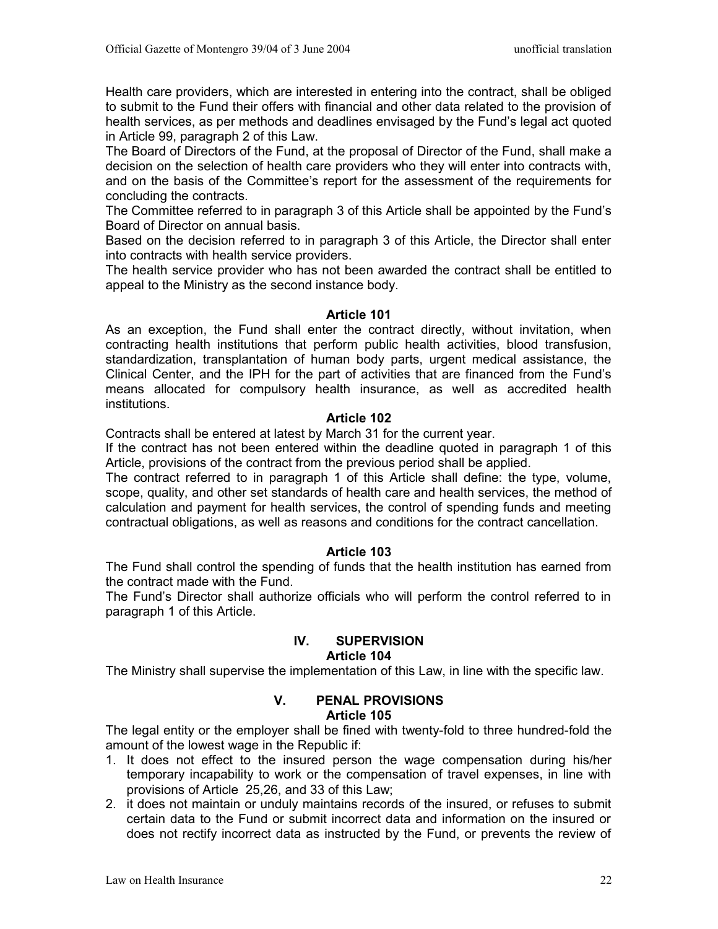Health care providers, which are interested in entering into the contract, shall be obliged to submit to the Fund their offers with financial and other data related to the provision of health services, as per methods and deadlines envisaged by the Fund's legal act quoted in Article 99, paragraph 2 of this Law.

The Board of Directors of the Fund, at the proposal of Director of the Fund, shall make a decision on the selection of health care providers who they will enter into contracts with, and on the basis of the Committee's report for the assessment of the requirements for concluding the contracts.

The Committee referred to in paragraph 3 of this Article shall be appointed by the Fund's Board of Director on annual basis.

Based on the decision referred to in paragraph 3 of this Article, the Director shall enter into contracts with health service providers.

The health service provider who has not been awarded the contract shall be entitled to appeal to the Ministry as the second instance body.

#### **Article 101**

As an exception, the Fund shall enter the contract directly, without invitation, when contracting health institutions that perform public health activities, blood transfusion, standardization, transplantation of human body parts, urgent medical assistance, the Clinical Center, and the IPH for the part of activities that are financed from the Fund's means allocated for compulsory health insurance, as well as accredited health institutions.

#### **Article 102**

Contracts shall be entered at latest by March 31 for the current year.

If the contract has not been entered within the deadline quoted in paragraph 1 of this Article, provisions of the contract from the previous period shall be applied.

The contract referred to in paragraph 1 of this Article shall define: the type, volume, scope, quality, and other set standards of health care and health services, the method of calculation and payment for health services, the control of spending funds and meeting contractual obligations, as well as reasons and conditions for the contract cancellation.

### **Article 103**

The Fund shall control the spending of funds that the health institution has earned from the contract made with the Fund.

The Fund's Director shall authorize officials who will perform the control referred to in paragraph 1 of this Article.

# **IV. SUPERVISION**

### **Article 104**

The Ministry shall supervise the implementation of this Law, in line with the specific law.

# **V. PENAL PROVISIONS**

#### **Article 105**

The legal entity or the employer shall be fined with twenty-fold to three hundred-fold the amount of the lowest wage in the Republic if:

- 1. It does not effect to the insured person the wage compensation during his/her temporary incapability to work or the compensation of travel expenses, in line with provisions of Article 25,26, and 33 of this Law;
- 2. it does not maintain or unduly maintains records of the insured, or refuses to submit certain data to the Fund or submit incorrect data and information on the insured or does not rectify incorrect data as instructed by the Fund, or prevents the review of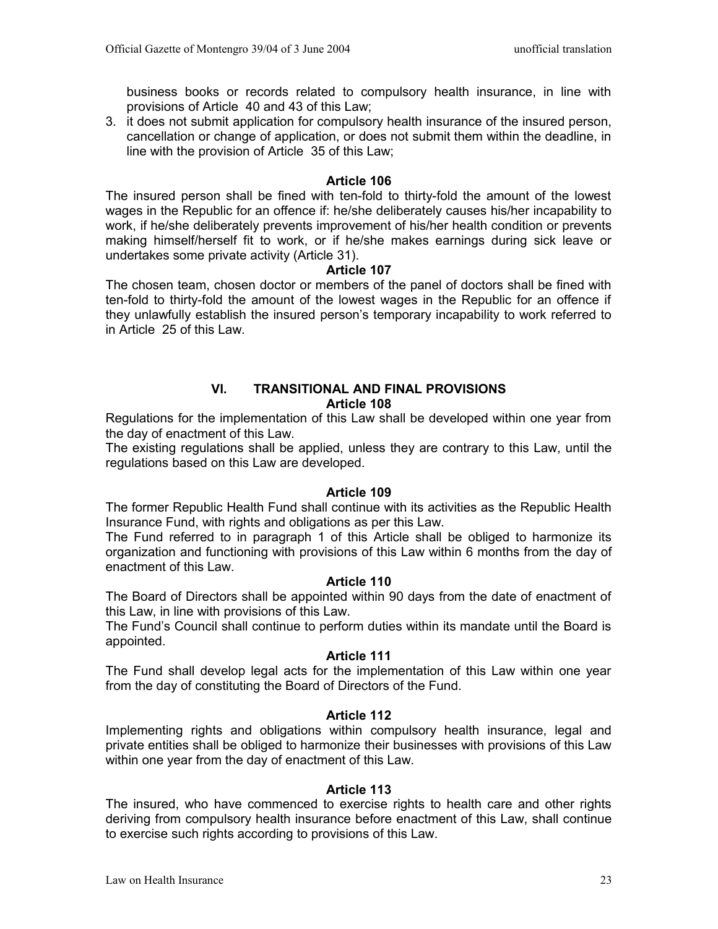business books or records related to compulsory health insurance, in line with provisions of Article 40 and 43 of this Law;

3. it does not submit application for compulsory health insurance of the insured person, cancellation or change of application, or does not submit them within the deadline, in line with the provision of Article 35 of this Law;

### **Article 106**

The insured person shall be fined with ten-fold to thirty-fold the amount of the lowest wages in the Republic for an offence if: he/she deliberately causes his/her incapability to work, if he/she deliberately prevents improvement of his/her health condition or prevents making himself/herself fit to work, or if he/she makes earnings during sick leave or undertakes some private activity (Article 31).

#### **Article 107**

The chosen team, chosen doctor or members of the panel of doctors shall be fined with ten-fold to thirty-fold the amount of the lowest wages in the Republic for an offence if they unlawfully establish the insured person's temporary incapability to work referred to in Article 25 of this Law.

#### **VI. TRANSITIONAL AND FINAL PROVISIONS Article 108**

Regulations for the implementation of this Law shall be developed within one year from the day of enactment of this Law.

The existing regulations shall be applied, unless they are contrary to this Law, until the regulations based on this Law are developed.

### **Article 109**

The former Republic Health Fund shall continue with its activities as the Republic Health Insurance Fund, with rights and obligations as per this Law.

The Fund referred to in paragraph 1 of this Article shall be obliged to harmonize its organization and functioning with provisions of this Law within 6 months from the day of enactment of this Law.

#### **Article 110**

The Board of Directors shall be appointed within 90 days from the date of enactment of this Law, in line with provisions of this Law.

The Fund's Council shall continue to perform duties within its mandate until the Board is appointed.

#### **Article 111**

The Fund shall develop legal acts for the implementation of this Law within one year from the day of constituting the Board of Directors of the Fund.

#### **Article 112**

Implementing rights and obligations within compulsory health insurance, legal and private entities shall be obliged to harmonize their businesses with provisions of this Law within one year from the day of enactment of this Law.

#### **Article 113**

The insured, who have commenced to exercise rights to health care and other rights deriving from compulsory health insurance before enactment of this Law, shall continue to exercise such rights according to provisions of this Law.